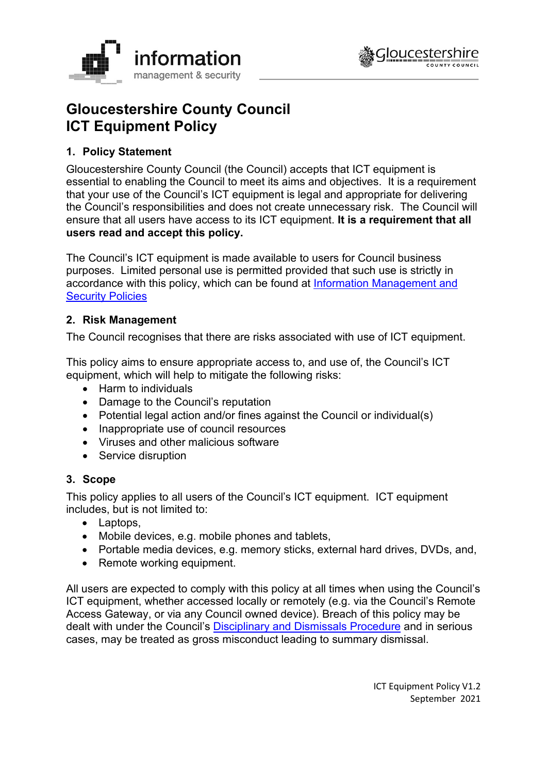



# **Gloucestershire County Council ICT Equipment Policy**

## **1. Policy Statement**

Gloucestershire County Council (the Council) accepts that ICT equipment is essential to enabling the Council to meet its aims and objectives. It is a requirement that your use of the Council's ICT equipment is legal and appropriate for delivering the Council's responsibilities and does not create unnecessary risk. The Council will ensure that all users have access to its ICT equipment. **It is a requirement that all users read and accept this policy.**

The Council's ICT equipment is made available to users for Council business purposes. Limited personal use is permitted provided that such use is strictly in accordance with this policy, which can be found at [Information Management and](http://www.gloucestershire.gov.uk/council-and-democracy/strategies-plans-policies/information-management-and-security-policies/)  **[Security Policies](http://www.gloucestershire.gov.uk/council-and-democracy/strategies-plans-policies/information-management-and-security-policies/)** 

## **2. Risk Management**

The Council recognises that there are risks associated with use of ICT equipment.

This policy aims to ensure appropriate access to, and use of, the Council's ICT equipment, which will help to mitigate the following risks:

- Harm to individuals
- Damage to the Council's reputation
- Potential legal action and/or fines against the Council or individual(s)
- Inappropriate use of council resources
- Viruses and other malicious software
- Service disruption

## **3. Scope**

This policy applies to all users of the Council's ICT equipment. ICT equipment includes, but is not limited to:

- Laptops,
- Mobile devices, e.g. mobile phones and tablets,
- Portable media devices, e.g. memory sticks, external hard drives, DVDs, and,
- Remote working equipment.

All users are expected to comply with this policy at all times when using the Council's ICT equipment, whether accessed locally or remotely (e.g. via the Council's Remote Access Gateway, or via any Council owned device). Breach of this policy may be dealt with under the Council's [Disciplinary and Dismissals Procedure](https://staffnet.gloucestershire.gov.uk/employee-information-and-support/hr-and-employment-handbook/disciplinary-and-dismissals/) and in serious cases, may be treated as gross misconduct leading to summary dismissal.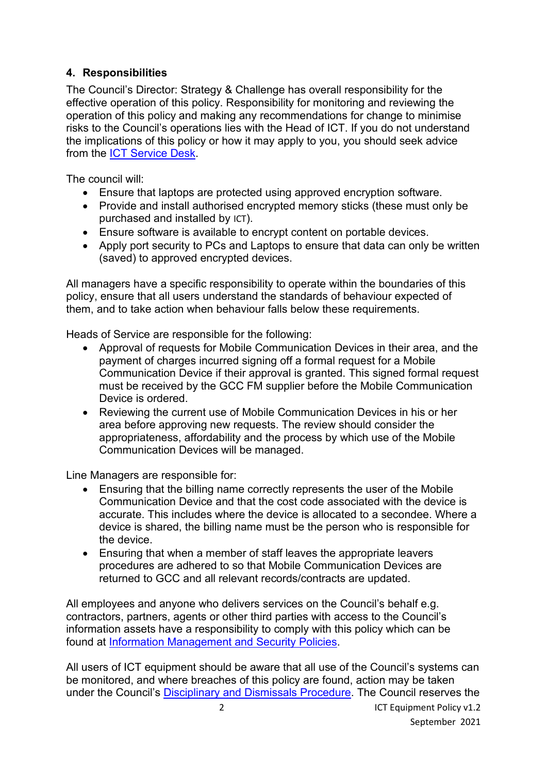## **4. Responsibilities**

The Council's Director: Strategy & Challenge has overall responsibility for the effective operation of this policy. Responsibility for monitoring and reviewing the operation of this policy and making any recommendations for change to minimise risks to the Council's operations lies with the Head of ICT. If you do not understand the implications of this policy or how it may apply to you, you should seek advice from the [ICT Service Desk.](https://staffnet.gloucestershire.gov.uk/internal-services/the-ict-service/other-ict-services/contact-the-ict-service/)

The council will:

- Ensure that laptops are protected using approved encryption software.
- Provide and install authorised encrypted memory sticks (these must only be purchased and installed by [ICT](https://staffnet.gloucestershire.gov.uk/internal-services/the-ict-service/do-you-need-new-ict-equipment/workstations-accessories/)).
- Ensure software is available to encrypt content on portable devices.
- Apply port security to PCs and Laptops to ensure that data can only be written (saved) to approved encrypted devices.

All managers have a specific responsibility to operate within the boundaries of this policy, ensure that all users understand the standards of behaviour expected of them, and to take action when behaviour falls below these requirements.

Heads of Service are responsible for the following:

- Approval of requests for Mobile Communication Devices in their area, and the payment of charges incurred signing off a formal request for a Mobile Communication Device if their approval is granted. This signed formal request must be received by the GCC FM supplier before the Mobile Communication Device is ordered.
- Reviewing the current use of Mobile Communication Devices in his or her area before approving new requests. The review should consider the appropriateness, affordability and the process by which use of the Mobile Communication Devices will be managed.

Line Managers are responsible for:

- Ensuring that the billing name correctly represents the user of the Mobile Communication Device and that the cost code associated with the device is accurate. This includes where the device is allocated to a secondee. Where a device is shared, the billing name must be the person who is responsible for the device.
- Ensuring that when a member of staff leaves the appropriate leavers procedures are adhered to so that Mobile Communication Devices are returned to GCC and all relevant records/contracts are updated.

All employees and anyone who delivers services on the Council's behalf e.g. contractors, partners, agents or other third parties with access to the Council's information assets have a responsibility to comply with this policy which can be found at [Information Management and Security Policies.](http://www.gloucestershire.gov.uk/council-and-democracy/strategies-plans-policies/information-management-and-security-policies/)

All users of ICT equipment should be aware that all use of the Council's systems can be monitored, and where breaches of this policy are found, action may be taken under the Council's [Disciplinary and Dismissals Procedure.](https://staffnet.gloucestershire.gov.uk/employee-information-and-support/hr-and-employment-handbook/disciplinary-and-dismissals/) The Council reserves the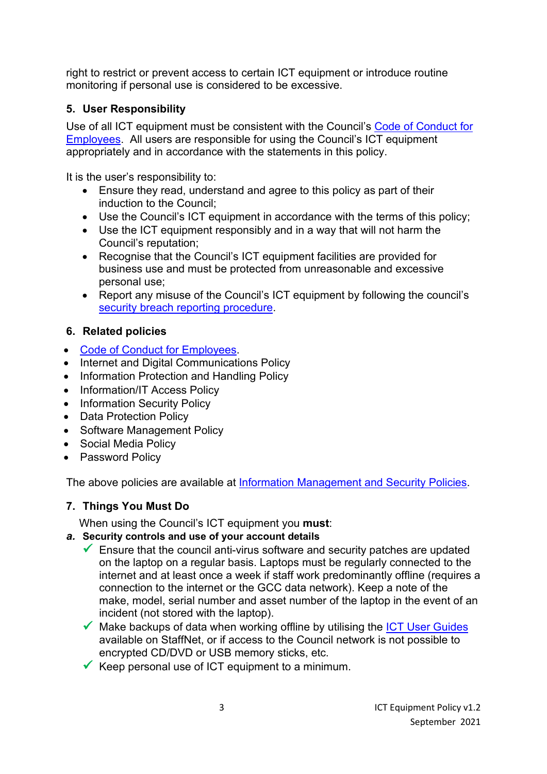right to restrict or prevent access to certain ICT equipment or introduce routine monitoring if personal use is considered to be excessive.

## **5. User Responsibility**

Use of all ICT equipment must be consistent with the Council's [Code of Conduct for](https://staffnet.gloucestershire.gov.uk/employee-information-and-support/code-of-conduct-for-employees/)  [Employees.](https://staffnet.gloucestershire.gov.uk/employee-information-and-support/code-of-conduct-for-employees/) All users are responsible for using the Council's ICT equipment appropriately and in accordance with the statements in this policy.

It is the user's responsibility to:

- Ensure they read, understand and agree to this policy as part of their induction to the Council;
- Use the Council's ICT equipment in accordance with the terms of this policy;
- Use the ICT equipment responsibly and in a way that will not harm the Council's reputation;
- Recognise that the Council's ICT equipment facilities are provided for business use and must be protected from unreasonable and excessive personal use;
- Report any misuse of the Council's ICT equipment by following the council's [security breach reporting procedure.](https://staffnet.gloucestershire.gov.uk/internal-services/information-management-service/information-security-incidents/)

## **6. Related policies**

- [Code of Conduct for Employees.](https://staffnet.gloucestershire.gov.uk/employee-information-and-support/code-of-conduct-for-employees/)
- Internet and Digital Communications Policy
- Information Protection and Handling Policy
- Information/IT Access Policy
- Information Security Policy
- Data Protection Policy
- Software Management Policy
- Social Media Policy
- Password Policy

The above policies are available at [Information Management and Security Policies.](http://www.gloucestershire.gov.uk/council-and-democracy/strategies-plans-policies/information-management-and-security-policies/)

## **7. Things You Must Do**

When using the Council's ICT equipment you **must**:

- *a.* **Security controls and use of your account details**
	- $\checkmark$  Ensure that the council anti-virus software and security patches are updated on the laptop on a regular basis. Laptops must be regularly connected to the internet and at least once a week if staff work predominantly offline (requires a connection to the internet or the GCC data network). Keep a note of the make, model, serial number and asset number of the laptop in the event of an incident (not stored with the laptop).
	- $\checkmark$  Make backups of data when working offline by utilising the [ICT User Guides](https://staffnet.gloucestershire.gov.uk/internal-services/the-ict-service/other-ict-services/ict-user-guides/working-from-home-and-video-calling/) available on StaffNet, or if access to the Council network is not possible to encrypted CD/DVD or USB memory sticks, etc.
	- $\checkmark$  Keep personal use of ICT equipment to a minimum.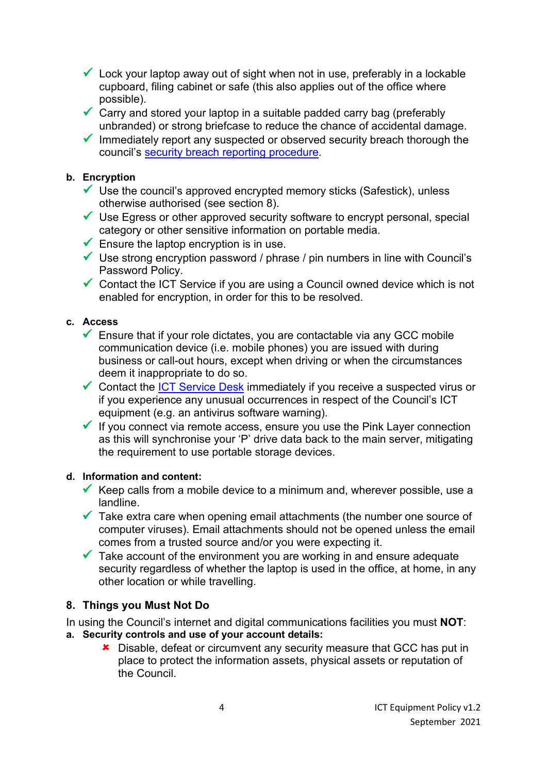- $\checkmark$  Lock your laptop away out of sight when not in use, preferably in a lockable cupboard, filing cabinet or safe (this also applies out of the office where possible).
- $\checkmark$  Carry and stored your laptop in a suitable padded carry bag (preferably unbranded) or strong briefcase to reduce the chance of accidental damage.
- $\checkmark$  Immediately report any suspected or observed security breach thorough the council's [security breach reporting procedure.](https://staffnet.gloucestershire.gov.uk/internal-services/information-management-service/information-security-incidents/)

#### **b. Encryption**

- $\checkmark$  Use the council's approved encrypted memory sticks (Safestick), unless otherwise authorised (see section 8).
- $\checkmark$  Use Egress or other approved security software to encrypt personal, special category or other sensitive information on portable media.
- $\checkmark$  Ensure the laptop encryption is in use.
- $\checkmark$  Use strong encryption password / phrase / pin numbers in line with Council's Password Policy.
- $\checkmark$  Contact the ICT Service if you are using a Council owned device which is not enabled for encryption, in order for this to be resolved.

#### **c. Access**

- $\checkmark$  Ensure that if your role dictates, you are contactable via any GCC mobile communication device (i.e. mobile phones) you are issued with during business or call-out hours, except when driving or when the circumstances deem it inappropriate to do so.
- $\checkmark$  Contact the [ICT Service Desk](https://staffnet.gloucestershire.gov.uk/internal-services/the-ict-service/other-ict-services/contact-the-ict-service/) immediately if you receive a suspected virus or if you experience any unusual occurrences in respect of the Council's ICT equipment (e.g. an antivirus software warning).
- $\checkmark$  If you connect via remote access, ensure you use the Pink Layer connection as this will synchronise your 'P' drive data back to the main server, mitigating the requirement to use portable storage devices.

#### **d. Information and content:**

- Keep calls from a mobile device to a minimum and, wherever possible, use a landline.
- $\checkmark$  Take extra care when opening email attachments (the number one source of computer viruses). Email attachments should not be opened unless the email comes from a trusted source and/or you were expecting it.
- $\checkmark$  Take account of the environment you are working in and ensure adequate security regardless of whether the laptop is used in the office, at home, in any other location or while travelling.

## **8. Things you Must Not Do**

In using the Council's internet and digital communications facilities you must **NOT**:

- **a. Security controls and use of your account details:**
	- **\*** Disable, defeat or circumvent any security measure that GCC has put in place to protect the information assets, physical assets or reputation of the Council.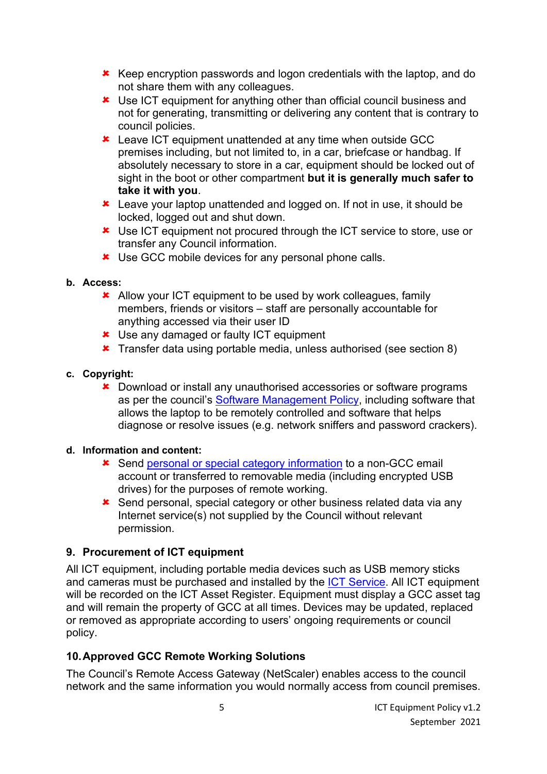- **\*** Keep encryption passwords and logon credentials with the laptop, and do not share them with any colleagues.
- Use ICT equipment for anything other than official council business and not for generating, transmitting or delivering any content that is contrary to council policies.
- **\*** Leave ICT equipment unattended at any time when outside GCC premises including, but not limited to, in a car, briefcase or handbag. If absolutely necessary to store in a car, equipment should be locked out of sight in the boot or other compartment **but it is generally much safer to take it with you**.
- **\*** Leave your laptop unattended and logged on. If not in use, it should be locked, logged out and shut down.
- **\*** Use ICT equipment not procured through the ICT service to store, use or transfer any Council information.
- **\*** Use GCC mobile devices for any personal phone calls.

#### **b. Access:**

- **\*** Allow your ICT equipment to be used by work colleagues, family members, friends or visitors – staff are personally accountable for anything accessed via their user ID
- **\*** Use any damaged or faulty ICT equipment
- **\*** Transfer data using portable media, unless authorised (see section 8)
- **c. Copyright:**
	- **\*** Download or install any unauthorised accessories or software programs as per the council's [Software Management Policy,](https://www.gloucestershire.gov.uk/council-and-democracy/strategies-plans-policies/information-management-and-security-policies/) including software that allows the laptop to be remotely controlled and software that helps diagnose or resolve issues (e.g. network sniffers and password crackers).

## **d. Information and content:**

- Send [personal or special category information](https://staffnet.gloucestershire.gov.uk/internal-services/information-management-service/data-protection-guidance/) to a non-GCC email account or transferred to removable media (including encrypted USB drives) for the purposes of remote working.
- **\*** Send personal, special category or other business related data via any Internet service(s) not supplied by the Council without relevant permission.

## **9. Procurement of ICT equipment**

All ICT equipment, including portable media devices such as USB memory sticks and cameras must be purchased and installed by the [ICT Service.](https://staffnet.gloucestershire.gov.uk/internal-services/the-ict-service/do-you-need-new-ict-equipment/workstations-accessories/) All ICT equipment will be recorded on the ICT Asset Register. Equipment must display a GCC asset tag and will remain the property of GCC at all times. Devices may be updated, replaced or removed as appropriate according to users' ongoing requirements or council policy.

## **10.Approved GCC Remote Working Solutions**

The Council's Remote Access Gateway (NetScaler) enables access to the council network and the same information you would normally access from council premises.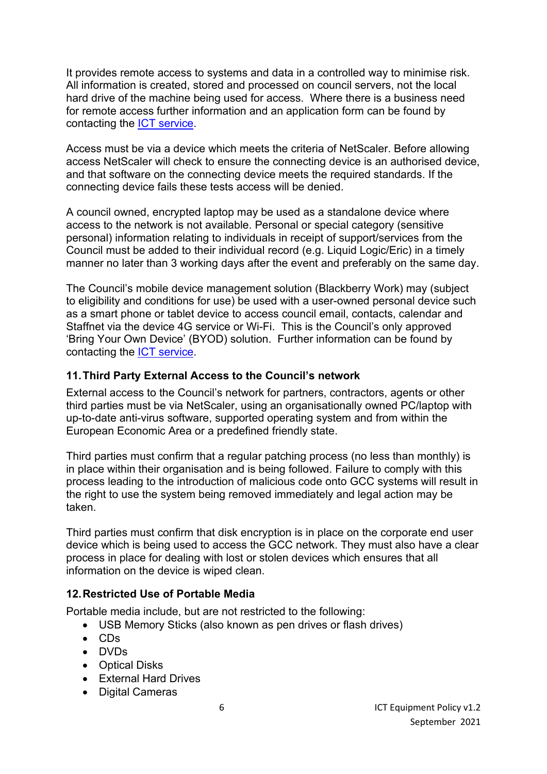It provides remote access to systems and data in a controlled way to minimise risk. All information is created, stored and processed on council servers, not the local hard drive of the machine being used for access. Where there is a business need for remote access further information and an application form can be found by contacting the [ICT service.](https://staffnet.gloucestershire.gov.uk/internal-services/the-ict-service/other-ict-services/ict-user-guides/working-from-home-and-video-calling/#main)

Access must be via a device which meets the criteria of NetScaler. Before allowing access NetScaler will check to ensure the connecting device is an authorised device, and that software on the connecting device meets the required standards. If the connecting device fails these tests access will be denied.

A council owned, encrypted laptop may be used as a standalone device where access to the network is not available. Personal or special category (sensitive personal) information relating to individuals in receipt of support/services from the Council must be added to their individual record (e.g. Liquid Logic/Eric) in a timely manner no later than 3 working days after the event and preferably on the same day.

The Council's mobile device management solution (Blackberry Work) may (subject to eligibility and conditions for use) be used with a user-owned personal device such as a smart phone or tablet device to access council email, contacts, calendar and Staffnet via the device 4G service or Wi-Fi. This is the Council's only approved 'Bring Your Own Device' (BYOD) solution. Further information can be found by contacting the **ICT** service.

#### **11.Third Party External Access to the Council's network**

External access to the Council's network for partners, contractors, agents or other third parties must be via NetScaler, using an organisationally owned PC/laptop with up-to-date anti-virus software, supported operating system and from within the European Economic Area or a predefined friendly state.

Third parties must confirm that a regular patching process (no less than monthly) is in place within their organisation and is being followed. Failure to comply with this process leading to the introduction of malicious code onto GCC systems will result in the right to use the system being removed immediately and legal action may be taken.

Third parties must confirm that disk encryption is in place on the corporate end user device which is being used to access the GCC network. They must also have a clear process in place for dealing with lost or stolen devices which ensures that all information on the device is wiped clean.

## **12.Restricted Use of Portable Media**

Portable media include, but are not restricted to the following:

- USB Memory Sticks (also known as pen drives or flash drives)
- CDs
- DVDs
- Optical Disks
- External Hard Drives
- Digital Cameras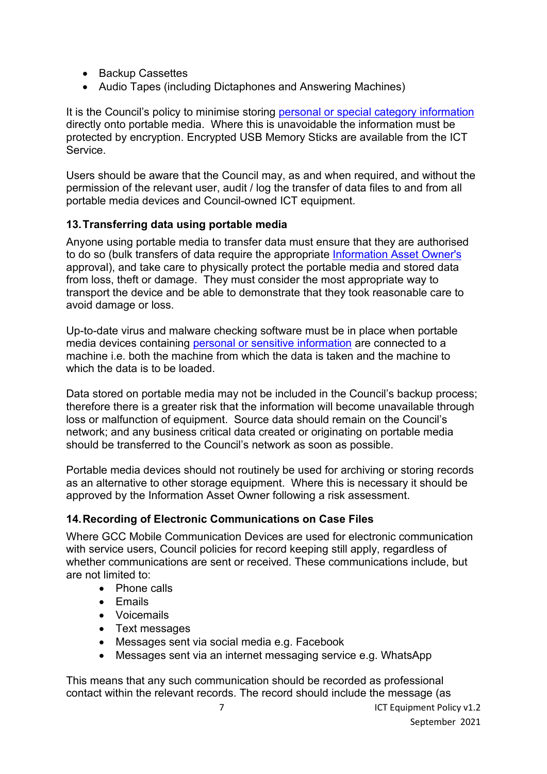- Backup Cassettes
- Audio Tapes (including Dictaphones and Answering Machines)

It is the Council's policy to minimise storing [personal or special category information](https://staffnet.gloucestershire.gov.uk/internal-services/information-management-service/data-protection-guidance/) directly onto portable media. Where this is unavoidable the information must be protected by encryption. Encrypted USB Memory Sticks are available from the ICT Service.

Users should be aware that the Council may, as and when required, and without the permission of the relevant user, audit / log the transfer of data files to and from all portable media devices and Council-owned ICT equipment.

#### **13.Transferring data using portable media**

Anyone using portable media to transfer data must ensure that they are authorised to do so (bulk transfers of data require the appropriate [Information Asset Owner's](https://staffnet.gloucestershire.gov.uk/internal-services/information-management-service/information-asset-owners-iao-help-guidance) approval), and take care to physically protect the portable media and stored data from loss, theft or damage. They must consider the most appropriate way to transport the device and be able to demonstrate that they took reasonable care to avoid damage or loss.

Up-to-date virus and malware checking software must be in place when portable media devices containing [personal or sensitive information](https://staffnet.gloucestershire.gov.uk/internal-services/information-management-service/data-protection-guidance/) are connected to a machine i.e. both the machine from which the data is taken and the machine to which the data is to be loaded.

Data stored on portable media may not be included in the Council's backup process; therefore there is a greater risk that the information will become unavailable through loss or malfunction of equipment. Source data should remain on the Council's network; and any business critical data created or originating on portable media should be transferred to the Council's network as soon as possible.

Portable media devices should not routinely be used for archiving or storing records as an alternative to other storage equipment. Where this is necessary it should be approved by the [Information Asset Owner](https://staffnet.gloucestershire.gov.uk/internal-services/information-management-service/information-asset-owners-iao-help-guidance) following a risk assessment.

## **14.Recording of Electronic Communications on Case Files**

Where GCC Mobile Communication Devices are used for electronic communication with service users, Council policies for record keeping still apply, regardless of whether communications are sent or received. These communications include, but are not limited to:

- Phone calls
- Emails
- Voicemails
- Text messages
- Messages sent via social media e.g. Facebook
- Messages sent via an internet messaging service e.g. WhatsApp

This means that any such communication should be recorded as professional contact within the relevant records. The record should include the message (as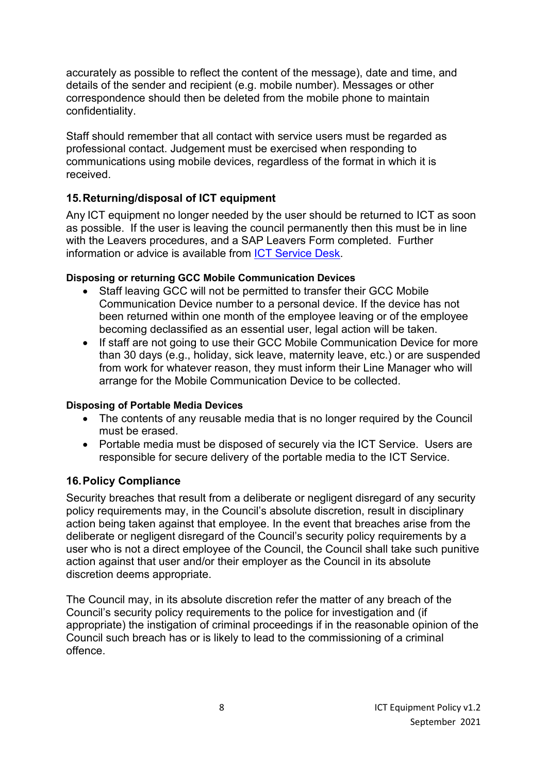accurately as possible to reflect the content of the message), date and time, and details of the sender and recipient (e.g. mobile number). Messages or other correspondence should then be deleted from the mobile phone to maintain confidentiality.

Staff should remember that all contact with service users must be regarded as professional contact. Judgement must be exercised when responding to communications using mobile devices, regardless of the format in which it is received.

## **15.Returning/disposal of ICT equipment**

Any ICT equipment no longer needed by the user should be returned to ICT as soon as possible. If the user is leaving the council permanently then this must be in line with the Leavers procedures, and a SAP Leavers Form completed. Further information or advice is available from ICT Service Desk.

#### **Disposing or returning GCC Mobile Communication Devices**

- Staff leaving GCC will not be permitted to transfer their GCC Mobile Communication Device number to a personal device. If the device has not been returned within one month of the employee leaving or of the employee becoming declassified as an essential user, legal action will be taken.
- If staff are not going to use their GCC Mobile Communication Device for more than 30 days (e.g., holiday, sick leave, maternity leave, etc.) or are suspended from work for whatever reason, they must inform their Line Manager who will arrange for the Mobile Communication Device to be collected.

#### **Disposing of Portable Media Devices**

- The contents of any reusable media that is no longer required by the Council must be erased.
- Portable media must be disposed of securely via the ICT Service. Users are responsible for secure delivery of the portable media to the ICT Service.

## **16.Policy Compliance**

Security breaches that result from a deliberate or negligent disregard of any security policy requirements may, in the Council's absolute discretion, result in disciplinary action being taken against that employee. In the event that breaches arise from the deliberate or negligent disregard of the Council's security policy requirements by a user who is not a direct employee of the Council, the Council shall take such punitive action against that user and/or their employer as the Council in its absolute discretion deems appropriate.

The Council may, in its absolute discretion refer the matter of any breach of the Council's security policy requirements to the police for investigation and (if appropriate) the instigation of criminal proceedings if in the reasonable opinion of the Council such breach has or is likely to lead to the commissioning of a criminal offence.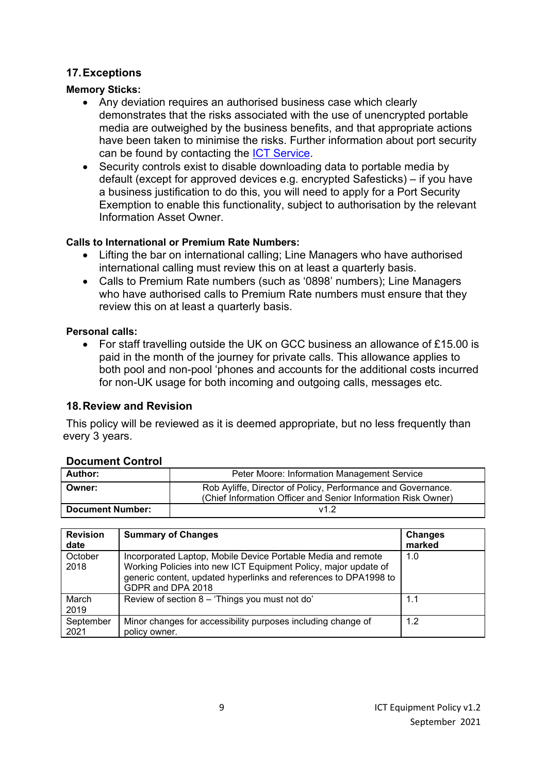#### **17.Exceptions**

#### **Memory Sticks:**

- Any deviation requires an authorised business case which clearly demonstrates that the risks associated with the use of unencrypted portable media are outweighed by the business benefits, and that appropriate actions have been taken to minimise the risks. Further information about port security can be found by contacting the ICT Service.
- Security controls exist to disable downloading data to portable media by default (except for approved devices e.g. encrypted Safesticks) – if you have a business justification to do this, you will need to apply for a Port Security Exemption to enable this functionality, subject to authorisation by the relevant Information Asset Owner.

#### **Calls to International or Premium Rate Numbers:**

- Lifting the bar on international calling; Line Managers who have authorised international calling must review this on at least a quarterly basis.
- Calls to Premium Rate numbers (such as '0898' numbers); Line Managers who have authorised calls to Premium Rate numbers must ensure that they review this on at least a quarterly basis.

#### **Personal calls:**

• For staff travelling outside the UK on GCC business an allowance of £15.00 is paid in the month of the journey for private calls. This allowance applies to both pool and non-pool 'phones and accounts for the additional costs incurred for non-UK usage for both incoming and outgoing calls, messages etc.

#### **18.Review and Revision**

This policy will be reviewed as it is deemed appropriate, but no less frequently than every 3 years.

#### **Document Control**

| --------------------    |                                                                                                                               |  |
|-------------------------|-------------------------------------------------------------------------------------------------------------------------------|--|
| Author:                 | Peter Moore: Information Management Service                                                                                   |  |
| Owner:                  | Rob Ayliffe, Director of Policy, Performance and Governance.<br>(Chief Information Officer and Senior Information Risk Owner) |  |
| <b>Document Number:</b> | v1.2                                                                                                                          |  |

| <b>Revision</b><br>date | <b>Summary of Changes</b>                                                                                                                                                                                                | <b>Changes</b><br>marked |
|-------------------------|--------------------------------------------------------------------------------------------------------------------------------------------------------------------------------------------------------------------------|--------------------------|
| October<br>2018         | Incorporated Laptop, Mobile Device Portable Media and remote<br>Working Policies into new ICT Equipment Policy, major update of<br>generic content, updated hyperlinks and references to DPA1998 to<br>GDPR and DPA 2018 | 1.0                      |
| March<br>2019           | Review of section 8 - 'Things you must not do'                                                                                                                                                                           | 1.1                      |
| September<br>2021       | Minor changes for accessibility purposes including change of<br>policy owner.                                                                                                                                            | 1.2                      |